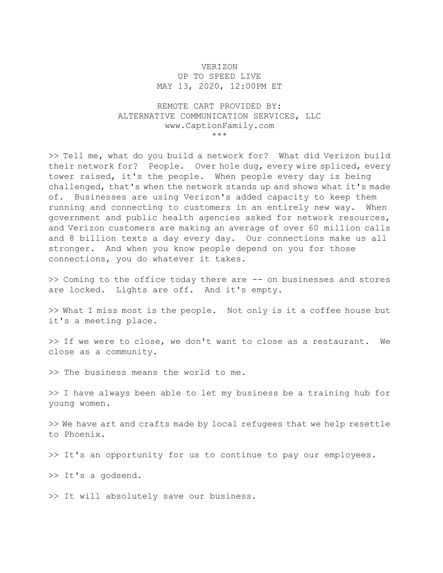## VERIZON UP TO SPEED LIVE MAY 13, 2020, 12:00PM ET

## REMOTE CART PROVIDED BY: ALTERNATIVE COMMUNICATION SERVICES, LLC www.CaptionFamily.com \*\*\*

>> Tell me, what do you build a network for? What did Verizon build their network for? People. Over hole dug, every wire spliced, every tower raised, it's the people. When people every day is being challenged, that's when the network stands up and shows what it's made of. Businesses are using Verizon's added capacity to keep them running and connecting to customers in an entirely new way. When government and public health agencies asked for network resources, and Verizon customers are making an average of over 60 million calls and 8 billion texts a day every day. Our connections make us all stronger. And when you know people depend on you for those connections, you do whatever it takes.

>> Coming to the office today there are -- on businesses and stores are locked. Lights are off. And it's empty.

>> What I miss most is the people. Not only is it a coffee house but it's a meeting place.

>> If we were to close, we don't want to close as a restaurant. We close as a community.

>> The business means the world to me.

>> I have always been able to let my business be a training hub for young women.

>> We have art and crafts made by local refugees that we help resettle to Phoenix.

>> It's an opportunity for us to continue to pay our employees.

>> It's a godsend.

>> It will absolutely save our business.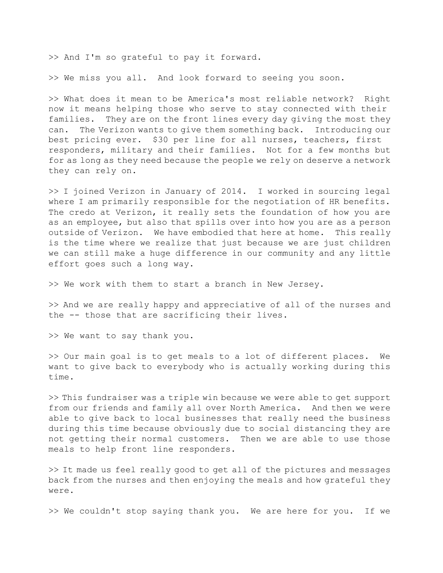>> And I'm so grateful to pay it forward.

>> We miss you all. And look forward to seeing you soon.

>> What does it mean to be America's most reliable network? Right now it means helping those who serve to stay connected with their families. They are on the front lines every day giving the most they can. The Verizon wants to give them something back. Introducing our best pricing ever. \$30 per line for all nurses, teachers, first responders, military and their families. Not for a few months but for as long as they need because the people we rely on deserve a network they can rely on.

>> I joined Verizon in January of 2014. I worked in sourcing legal where I am primarily responsible for the negotiation of HR benefits. The credo at Verizon, it really sets the foundation of how you are as an employee, but also that spills over into how you are as a person outside of Verizon. We have embodied that here at home. This really is the time where we realize that just because we are just children we can still make a huge difference in our community and any little effort goes such a long way.

>> We work with them to start a branch in New Jersey.

>> And we are really happy and appreciative of all of the nurses and the -- those that are sacrificing their lives.

>> We want to say thank you.

>> Our main goal is to get meals to a lot of different places. We want to give back to everybody who is actually working during this time.

>> This fundraiser was a triple win because we were able to get support from our friends and family all over North America. And then we were able to give back to local businesses that really need the business during this time because obviously due to social distancing they are not getting their normal customers. Then we are able to use those meals to help front line responders.

>> It made us feel really good to get all of the pictures and messages back from the nurses and then enjoying the meals and how grateful they were.

>> We couldn't stop saying thank you. We are here for you. If we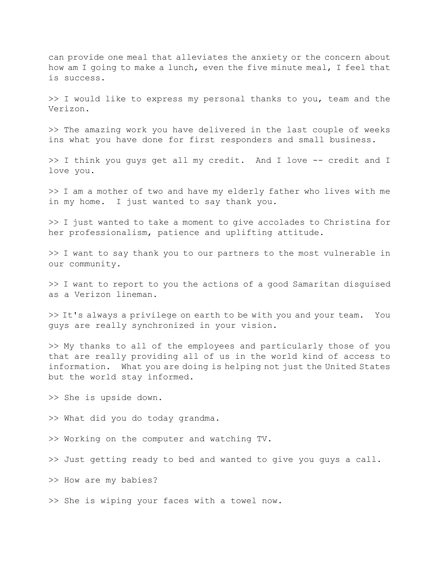can provide one meal that alleviates the anxiety or the concern about how am I going to make a lunch, even the five minute meal, I feel that is success.

>> I would like to express my personal thanks to you, team and the Verizon.

>> The amazing work you have delivered in the last couple of weeks ins what you have done for first responders and small business.

>> I think you guys get all my credit. And I love -- credit and I love you.

>> I am a mother of two and have my elderly father who lives with me in my home. I just wanted to say thank you.

>> I just wanted to take a moment to give accolades to Christina for her professionalism, patience and uplifting attitude.

>> I want to say thank you to our partners to the most vulnerable in our community.

>> I want to report to you the actions of a good Samaritan disguised as a Verizon lineman.

>> It's always a privilege on earth to be with you and your team. You guys are really synchronized in your vision.

>> My thanks to all of the employees and particularly those of you that are really providing all of us in the world kind of access to information. What you are doing is helping not just the United States but the world stay informed.

>> She is upside down.

>> What did you do today grandma.

>> Working on the computer and watching TV.

>> Just getting ready to bed and wanted to give you guys a call.

>> How are my babies?

>> She is wiping your faces with a towel now.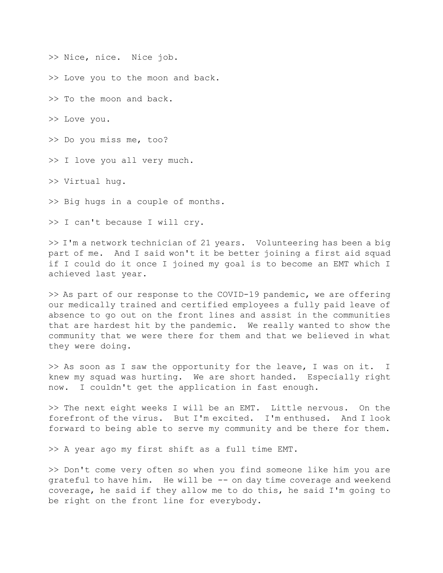>> Nice, nice. Nice job.

>> Love you to the moon and back.

>> To the moon and back.

>> Love you.

>> Do you miss me, too?

>> I love you all very much.

>> Virtual hug.

>> Big hugs in a couple of months.

>> I can't because I will cry.

>> I'm a network technician of 21 years. Volunteering has been a big part of me. And I said won't it be better joining a first aid squad if I could do it once I joined my goal is to become an EMT which I achieved last year.

>> As part of our response to the COVID-19 pandemic, we are offering our medically trained and certified employees a fully paid leave of absence to go out on the front lines and assist in the communities that are hardest hit by the pandemic. We really wanted to show the community that we were there for them and that we believed in what they were doing.

>> As soon as I saw the opportunity for the leave, I was on it. I knew my squad was hurting. We are short handed. Especially right now. I couldn't get the application in fast enough.

>> The next eight weeks I will be an EMT. Little nervous. On the forefront of the virus. But I'm excited. I'm enthused. And I look forward to being able to serve my community and be there for them.

>> A year ago my first shift as a full time EMT.

>> Don't come very often so when you find someone like him you are grateful to have him. He will be -- on day time coverage and weekend coverage, he said if they allow me to do this, he said I'm going to be right on the front line for everybody.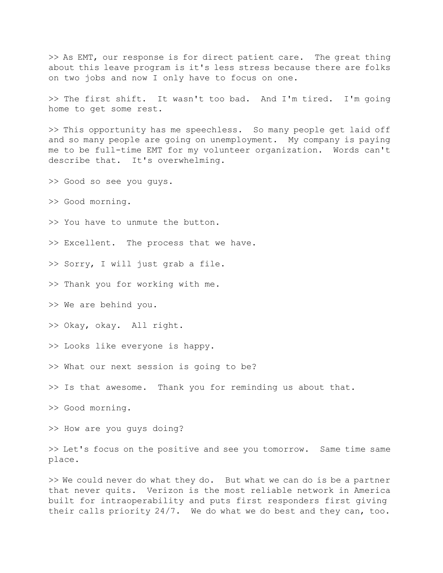>> As EMT, our response is for direct patient care. The great thing about this leave program is it's less stress because there are folks on two jobs and now I only have to focus on one.

>> The first shift. It wasn't too bad. And I'm tired. I'm going home to get some rest.

>> This opportunity has me speechless. So many people get laid off and so many people are going on unemployment. My company is paying me to be full-time EMT for my volunteer organization. Words can't describe that. It's overwhelming.

>> Good so see you guys.

>> Good morning.

>> You have to unmute the button.

>> Excellent. The process that we have.

>> Sorry, I will just grab a file.

>> Thank you for working with me.

>> We are behind you.

>> Okay, okay. All right.

>> Looks like everyone is happy.

>> What our next session is going to be?

>> Is that awesome. Thank you for reminding us about that.

>> Good morning.

>> How are you guys doing?

>> Let's focus on the positive and see you tomorrow. Same time same place.

>> We could never do what they do. But what we can do is be a partner that never quits. Verizon is the most reliable network in America built for intraoperability and puts first responders first giving their calls priority 24/7. We do what we do best and they can, too.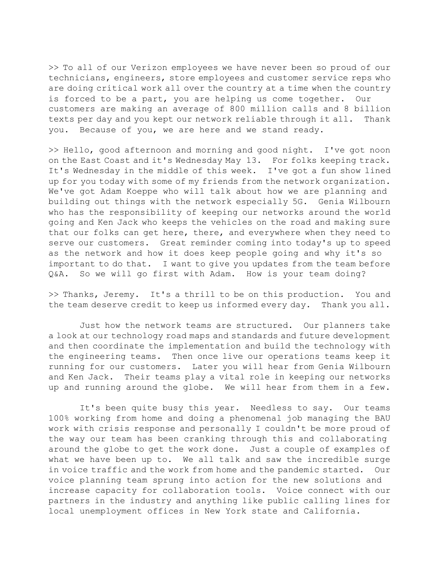>> To all of our Verizon employees we have never been so proud of our technicians, engineers, store employees and customer service reps who are doing critical work all over the country at a time when the country is forced to be a part, you are helping us come together. Our customers are making an average of 800 million calls and 8 billion texts per day and you kept our network reliable through it all. Thank you. Because of you, we are here and we stand ready.

>> Hello, good afternoon and morning and good night. I've got noon on the East Coast and it's Wednesday May 13. For folks keeping track. It's Wednesday in the middle of this week. I've got a fun show lined up for you today with some of my friends from the network organization. We've got Adam Koeppe who will talk about how we are planning and building out things with the network especially 5G. Genia Wilbourn who has the responsibility of keeping our networks around the world going and Ken Jack who keeps the vehicles on the road and making sure that our folks can get here, there, and everywhere when they need to serve our customers. Great reminder coming into today's up to speed as the network and how it does keep people going and why it's so important to do that. I want to give you updates from the team before Q&A. So we will go first with Adam. How is your team doing?

>> Thanks, Jeremy. It's a thrill to be on this production. You and the team deserve credit to keep us informed every day. Thank you all.

 Just how the network teams are structured. Our planners take a look at our technology road maps and standards and future development and then coordinate the implementation and build the technology with the engineering teams. Then once live our operations teams keep it running for our customers. Later you will hear from Genia Wilbourn and Ken Jack. Their teams play a vital role in keeping our networks up and running around the globe. We will hear from them in a few.

 It's been quite busy this year. Needless to say. Our teams 100% working from home and doing a phenomenal job managing the BAU work with crisis response and personally I couldn't be more proud of the way our team has been cranking through this and collaborating around the globe to get the work done. Just a couple of examples of what we have been up to. We all talk and saw the incredible surge in voice traffic and the work from home and the pandemic started. Our voice planning team sprung into action for the new solutions and increase capacity for collaboration tools. Voice connect with our partners in the industry and anything like public calling lines for local unemployment offices in New York state and California.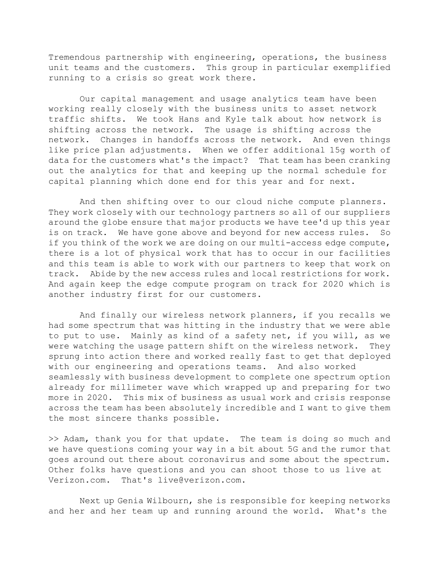Tremendous partnership with engineering, operations, the business unit teams and the customers. This group in particular exemplified running to a crisis so great work there.

 Our capital management and usage analytics team have been working really closely with the business units to asset network traffic shifts. We took Hans and Kyle talk about how network is shifting across the network. The usage is shifting across the network. Changes in handoffs across the network. And even things like price plan adjustments. When we offer additional 15g worth of data for the customers what's the impact? That team has been cranking out the analytics for that and keeping up the normal schedule for capital planning which done end for this year and for next.

 And then shifting over to our cloud niche compute planners. They work closely with our technology partners so all of our suppliers around the globe ensure that major products we have tee'd up this year is on track. We have gone above and beyond for new access rules. So if you think of the work we are doing on our multi-access edge compute, there is a lot of physical work that has to occur in our facilities and this team is able to work with our partners to keep that work on track. Abide by the new access rules and local restrictions for work. And again keep the edge compute program on track for 2020 which is another industry first for our customers.

 And finally our wireless network planners, if you recalls we had some spectrum that was hitting in the industry that we were able to put to use. Mainly as kind of a safety net, if you will, as we were watching the usage pattern shift on the wireless network. They sprung into action there and worked really fast to get that deployed with our engineering and operations teams. And also worked seamlessly with business development to complete one spectrum option already for millimeter wave which wrapped up and preparing for two more in 2020. This mix of business as usual work and crisis response across the team has been absolutely incredible and I want to give them the most sincere thanks possible.

>> Adam, thank you for that update. The team is doing so much and we have questions coming your way in a bit about 5G and the rumor that goes around out there about coronavirus and some about the spectrum. Other folks have questions and you can shoot those to us live at Verizon.com. That's live@verizon.com.

 Next up Genia Wilbourn, she is responsible for keeping networks and her and her team up and running around the world. What's the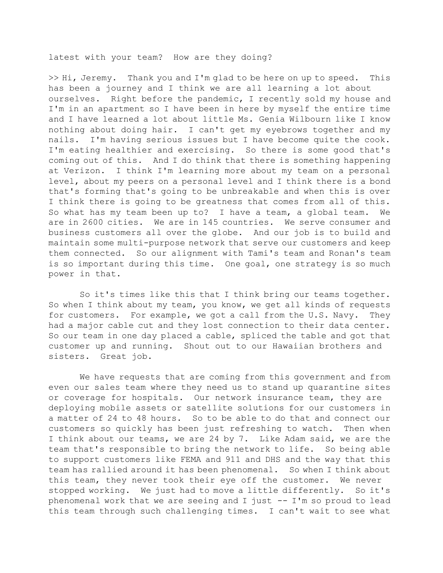latest with your team? How are they doing?

>> Hi, Jeremy. Thank you and I'm glad to be here on up to speed. This has been a journey and I think we are all learning a lot about ourselves. Right before the pandemic, I recently sold my house and I'm in an apartment so I have been in here by myself the entire time and I have learned a lot about little Ms. Genia Wilbourn like I know nothing about doing hair. I can't get my eyebrows together and my nails. I'm having serious issues but I have become quite the cook. I'm eating healthier and exercising. So there is some good that's coming out of this. And I do think that there is something happening at Verizon. I think I'm learning more about my team on a personal level, about my peers on a personal level and I think there is a bond that's forming that's going to be unbreakable and when this is over I think there is going to be greatness that comes from all of this. So what has my team been up to? I have a team, a global team. We are in 2600 cities. We are in 145 countries. We serve consumer and business customers all over the globe. And our job is to build and maintain some multi-purpose network that serve our customers and keep them connected. So our alignment with Tami's team and Ronan's team is so important during this time. One goal, one strategy is so much power in that.

So it's times like this that I think bring our teams together. So when I think about my team, you know, we get all kinds of requests for customers. For example, we got a call from the U.S. Navy. They had a major cable cut and they lost connection to their data center. So our team in one day placed a cable, spliced the table and got that customer up and running. Shout out to our Hawaiian brothers and sisters. Great job.

 We have requests that are coming from this government and from even our sales team where they need us to stand up quarantine sites or coverage for hospitals. Our network insurance team, they are deploying mobile assets or satellite solutions for our customers in a matter of 24 to 48 hours. So to be able to do that and connect our customers so quickly has been just refreshing to watch. Then when I think about our teams, we are 24 by 7. Like Adam said, we are the team that's responsible to bring the network to life. So being able to support customers like FEMA and 911 and DHS and the way that this team has rallied around it has been phenomenal. So when I think about this team, they never took their eye off the customer. We never stopped working. We just had to move a little differently. So it's phenomenal work that we are seeing and I just -- I'm so proud to lead this team through such challenging times. I can't wait to see what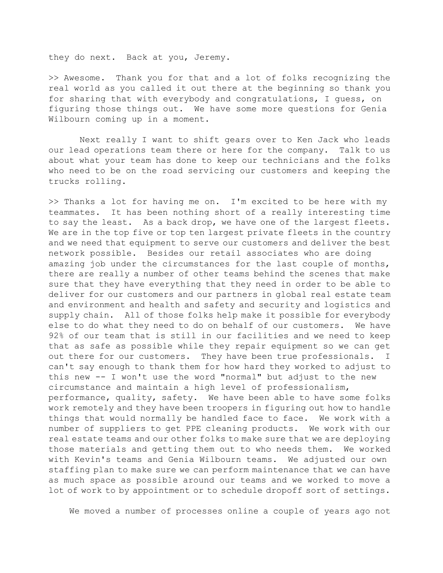they do next. Back at you, Jeremy.

>> Awesome. Thank you for that and a lot of folks recognizing the real world as you called it out there at the beginning so thank you for sharing that with everybody and congratulations, I guess, on figuring those things out. We have some more questions for Genia Wilbourn coming up in a moment.

 Next really I want to shift gears over to Ken Jack who leads our lead operations team there or here for the company. Talk to us about what your team has done to keep our technicians and the folks who need to be on the road servicing our customers and keeping the trucks rolling.

>> Thanks a lot for having me on. I'm excited to be here with my teammates. It has been nothing short of a really interesting time to say the least. As a back drop, we have one of the largest fleets. We are in the top five or top ten largest private fleets in the country and we need that equipment to serve our customers and deliver the best network possible. Besides our retail associates who are doing amazing job under the circumstances for the last couple of months, there are really a number of other teams behind the scenes that make sure that they have everything that they need in order to be able to deliver for our customers and our partners in global real estate team and environment and health and safety and security and logistics and supply chain. All of those folks help make it possible for everybody else to do what they need to do on behalf of our customers. We have 92% of our team that is still in our facilities and we need to keep that as safe as possible while they repair equipment so we can get out there for our customers. They have been true professionals. I can't say enough to thank them for how hard they worked to adjust to this new -- I won't use the word "normal" but adjust to the new circumstance and maintain a high level of professionalism, performance, quality, safety. We have been able to have some folks work remotely and they have been troopers in figuring out how to handle things that would normally be handled face to face. We work with a number of suppliers to get PPE cleaning products. We work with our real estate teams and our other folks to make sure that we are deploying those materials and getting them out to who needs them. We worked with Kevin's teams and Genia Wilbourn teams. We adjusted our own staffing plan to make sure we can perform maintenance that we can have as much space as possible around our teams and we worked to move a lot of work to by appointment or to schedule dropoff sort of settings.

We moved a number of processes online a couple of years ago not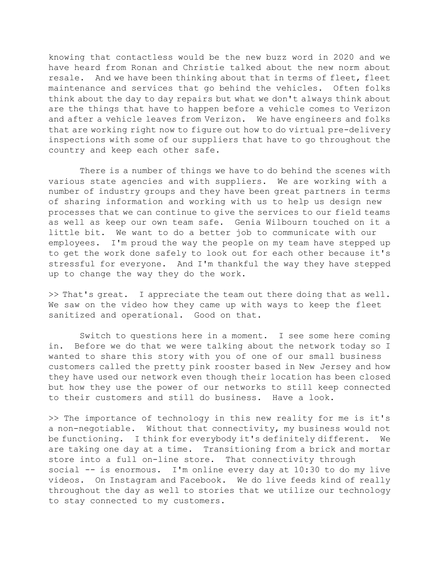knowing that contactless would be the new buzz word in 2020 and we have heard from Ronan and Christie talked about the new norm about resale. And we have been thinking about that in terms of fleet, fleet maintenance and services that go behind the vehicles. Often folks think about the day to day repairs but what we don't always think about are the things that have to happen before a vehicle comes to Verizon and after a vehicle leaves from Verizon. We have engineers and folks that are working right now to figure out how to do virtual pre-delivery inspections with some of our suppliers that have to go throughout the country and keep each other safe.

 There is a number of things we have to do behind the scenes with various state agencies and with suppliers. We are working with a number of industry groups and they have been great partners in terms of sharing information and working with us to help us design new processes that we can continue to give the services to our field teams as well as keep our own team safe. Genia Wilbourn touched on it a little bit. We want to do a better job to communicate with our employees. I'm proud the way the people on my team have stepped up to get the work done safely to look out for each other because it's stressful for everyone. And I'm thankful the way they have stepped up to change the way they do the work.

>> That's great. I appreciate the team out there doing that as well. We saw on the video how they came up with ways to keep the fleet sanitized and operational. Good on that.

 Switch to questions here in a moment. I see some here coming in. Before we do that we were talking about the network today so I wanted to share this story with you of one of our small business customers called the pretty pink rooster based in New Jersey and how they have used our network even though their location has been closed but how they use the power of our networks to still keep connected to their customers and still do business. Have a look.

>> The importance of technology in this new reality for me is it's a non-negotiable. Without that connectivity, my business would not be functioning. I think for everybody it's definitely different. We are taking one day at a time. Transitioning from a brick and mortar store into a full on-line store. That connectivity through social -- is enormous. I'm online every day at 10:30 to do my live videos. On Instagram and Facebook. We do live feeds kind of really throughout the day as well to stories that we utilize our technology to stay connected to my customers.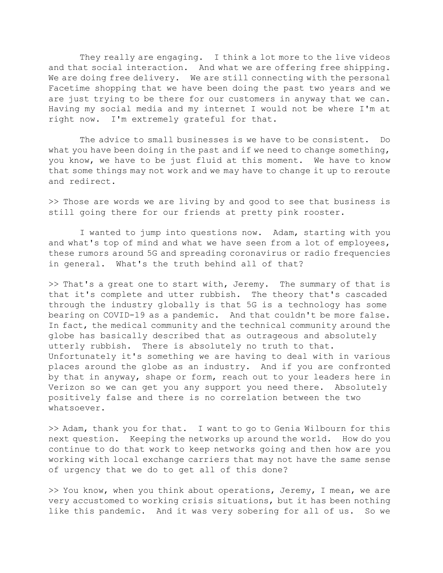They really are engaging. I think a lot more to the live videos and that social interaction. And what we are offering free shipping. We are doing free delivery. We are still connecting with the personal Facetime shopping that we have been doing the past two years and we are just trying to be there for our customers in anyway that we can. Having my social media and my internet I would not be where I'm at right now. I'm extremely grateful for that.

 The advice to small businesses is we have to be consistent. Do what you have been doing in the past and if we need to change something, you know, we have to be just fluid at this moment. We have to know that some things may not work and we may have to change it up to reroute and redirect.

>> Those are words we are living by and good to see that business is still going there for our friends at pretty pink rooster.

 I wanted to jump into questions now. Adam, starting with you and what's top of mind and what we have seen from a lot of employees, these rumors around 5G and spreading coronavirus or radio frequencies in general. What's the truth behind all of that?

>> That's a great one to start with, Jeremy. The summary of that is that it's complete and utter rubbish. The theory that's cascaded through the industry globally is that 5G is a technology has some bearing on COVID-19 as a pandemic. And that couldn't be more false. In fact, the medical community and the technical community around the globe has basically described that as outrageous and absolutely utterly rubbish. There is absolutely no truth to that. Unfortunately it's something we are having to deal with in various places around the globe as an industry. And if you are confronted by that in anyway, shape or form, reach out to your leaders here in Verizon so we can get you any support you need there. Absolutely positively false and there is no correlation between the two whatsoever.

>> Adam, thank you for that. I want to go to Genia Wilbourn for this next question. Keeping the networks up around the world. How do you continue to do that work to keep networks going and then how are you working with local exchange carriers that may not have the same sense of urgency that we do to get all of this done?

>> You know, when you think about operations, Jeremy, I mean, we are very accustomed to working crisis situations, but it has been nothing like this pandemic. And it was very sobering for all of us. So we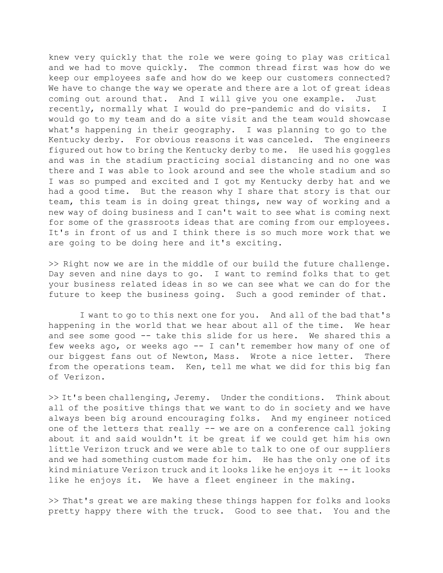knew very quickly that the role we were going to play was critical and we had to move quickly. The common thread first was how do we keep our employees safe and how do we keep our customers connected? We have to change the way we operate and there are a lot of great ideas coming out around that. And I will give you one example. Just recently, normally what I would do pre-pandemic and do visits. I would go to my team and do a site visit and the team would showcase what's happening in their geography. I was planning to go to the Kentucky derby. For obvious reasons it was canceled. The engineers figured out how to bring the Kentucky derby to me. He used his goggles and was in the stadium practicing social distancing and no one was there and I was able to look around and see the whole stadium and so I was so pumped and excited and I got my Kentucky derby hat and we had a good time. But the reason why I share that story is that our team, this team is in doing great things, new way of working and a new way of doing business and I can't wait to see what is coming next for some of the grassroots ideas that are coming from our employees. It's in front of us and I think there is so much more work that we are going to be doing here and it's exciting.

>> Right now we are in the middle of our build the future challenge. Day seven and nine days to go. I want to remind folks that to get your business related ideas in so we can see what we can do for the future to keep the business going. Such a good reminder of that.

 I want to go to this next one for you. And all of the bad that's happening in the world that we hear about all of the time. We hear and see some good -- take this slide for us here. We shared this a few weeks ago, or weeks ago -- I can't remember how many of one of our biggest fans out of Newton, Mass. Wrote a nice letter. There from the operations team. Ken, tell me what we did for this big fan of Verizon.

>> It's been challenging, Jeremy. Under the conditions. Think about all of the positive things that we want to do in society and we have always been big around encouraging folks. And my engineer noticed one of the letters that really -- we are on a conference call joking about it and said wouldn't it be great if we could get him his own little Verizon truck and we were able to talk to one of our suppliers and we had something custom made for him. He has the only one of its kind miniature Verizon truck and it looks like he enjoys it -- it looks like he enjoys it. We have a fleet engineer in the making.

>> That's great we are making these things happen for folks and looks pretty happy there with the truck. Good to see that. You and the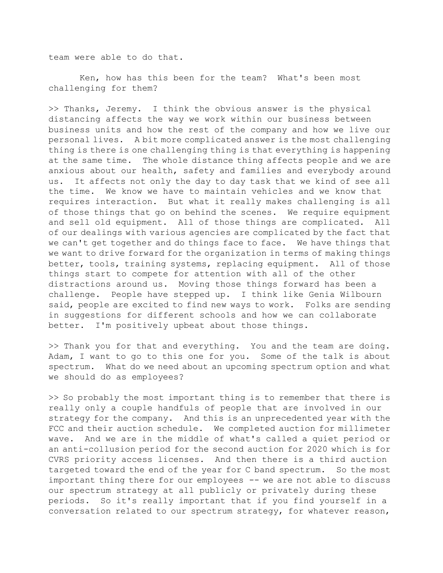team were able to do that.

 Ken, how has this been for the team? What's been most challenging for them?

>> Thanks, Jeremy. I think the obvious answer is the physical distancing affects the way we work within our business between business units and how the rest of the company and how we live our personal lives. A bit more complicated answer is the most challenging thing is there is one challenging thing is that everything is happening at the same time. The whole distance thing affects people and we are anxious about our health, safety and families and everybody around us. It affects not only the day to day task that we kind of see all the time. We know we have to maintain vehicles and we know that requires interaction. But what it really makes challenging is all of those things that go on behind the scenes. We require equipment and sell old equipment. All of those things are complicated. All of our dealings with various agencies are complicated by the fact that we can't get together and do things face to face. We have things that we want to drive forward for the organization in terms of making things better, tools, training systems, replacing equipment. All of those things start to compete for attention with all of the other distractions around us. Moving those things forward has been a challenge. People have stepped up. I think like Genia Wilbourn said, people are excited to find new ways to work. Folks are sending in suggestions for different schools and how we can collaborate better. I'm positively upbeat about those things.

>> Thank you for that and everything. You and the team are doing. Adam, I want to go to this one for you. Some of the talk is about spectrum. What do we need about an upcoming spectrum option and what we should do as employees?

>> So probably the most important thing is to remember that there is really only a couple handfuls of people that are involved in our strategy for the company. And this is an unprecedented year with the FCC and their auction schedule. We completed auction for millimeter wave. And we are in the middle of what's called a quiet period or an anti-collusion period for the second auction for 2020 which is for CVRS priority access licenses. And then there is a third auction targeted toward the end of the year for C band spectrum. So the most important thing there for our employees -- we are not able to discuss our spectrum strategy at all publicly or privately during these periods. So it's really important that if you find yourself in a conversation related to our spectrum strategy, for whatever reason,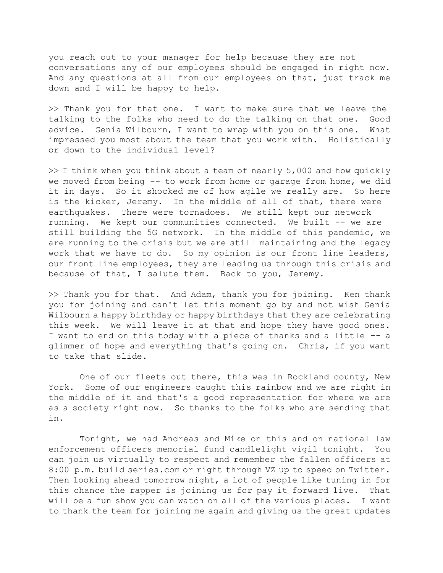you reach out to your manager for help because they are not conversations any of our employees should be engaged in right now. And any questions at all from our employees on that, just track me down and I will be happy to help.

>> Thank you for that one. I want to make sure that we leave the talking to the folks who need to do the talking on that one. Good advice. Genia Wilbourn, I want to wrap with you on this one. What impressed you most about the team that you work with. Holistically or down to the individual level?

>> I think when you think about a team of nearly 5,000 and how quickly we moved from being -- to work from home or garage from home, we did it in days. So it shocked me of how agile we really are. So here is the kicker, Jeremy. In the middle of all of that, there were earthquakes. There were tornadoes. We still kept our network running. We kept our communities connected. We built -- we are still building the 5G network. In the middle of this pandemic, we are running to the crisis but we are still maintaining and the legacy work that we have to do. So my opinion is our front line leaders, our front line employees, they are leading us through this crisis and because of that, I salute them. Back to you, Jeremy.

>> Thank you for that. And Adam, thank you for joining. Ken thank you for joining and can't let this moment go by and not wish Genia Wilbourn a happy birthday or happy birthdays that they are celebrating this week. We will leave it at that and hope they have good ones. I want to end on this today with a piece of thanks and a little -- a glimmer of hope and everything that's going on. Chris, if you want to take that slide.

 One of our fleets out there, this was in Rockland county, New York. Some of our engineers caught this rainbow and we are right in the middle of it and that's a good representation for where we are as a society right now. So thanks to the folks who are sending that in.

 Tonight, we had Andreas and Mike on this and on national law enforcement officers memorial fund candlelight vigil tonight. You can join us virtually to respect and remember the fallen officers at 8:00 p.m. build series.com or right through VZ up to speed on Twitter. Then looking ahead tomorrow night, a lot of people like tuning in for this chance the rapper is joining us for pay it forward live. That will be a fun show you can watch on all of the various places. I want to thank the team for joining me again and giving us the great updates